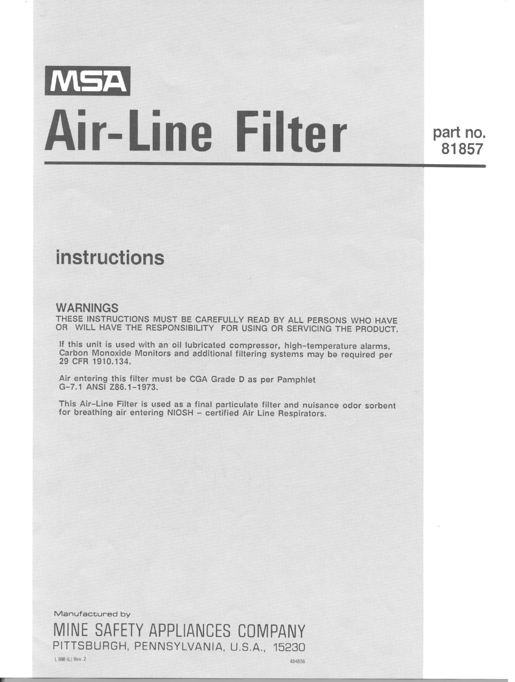# MSA **Air-Line Filter**

part no. 81857

## instructions

#### WARNINGS

THESE INSTRUCTIONS MUST BE CAREFULLY READ BY ALL PERSONS WHO HAVE OR WILL HAVE THE RESPONSIBILITY FOR USING OR SERVICING THE PRODUCT.

If this unit is used with an oil lubricated compressor, high-temperature alarms, Carbon Monoxide Monitors and additional filtering systems may be required per 29 CFR 1910.134.

Air entering this filter must be CGA Grade D as per Pamphlet G-7.1 ANSI 286.1-1973.

This Air-Line Filter is used as a final particulate filter and nuisance odor sorbent for breathing air entering NIOSH - certified Air Line Respirators.

Manufactured by MINE SAFETY APPLIANCES COMPANY PITTSBURGH, PENNSYLVANIA, U.S.A., 15230

L 888 (L) Rev. 2 484856